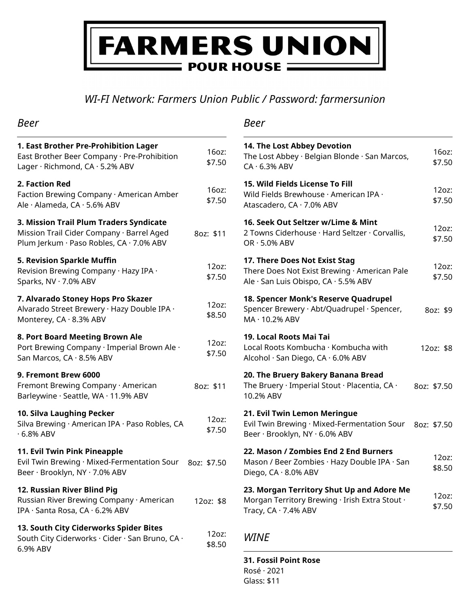# **FARMERS UNION**  $\blacksquare$  POUR HOUSE  $\blacksquare$

*WI-FI Network: Farmers Union Public / Password: farmersunion*

| <b>Beer</b>                                                                                                                      |                 | Beer                                                                                              |
|----------------------------------------------------------------------------------------------------------------------------------|-----------------|---------------------------------------------------------------------------------------------------|
| 1. East Brother Pre-Prohibition Lager<br>East Brother Beer Company · Pre-Prohibition<br>Lager · Richmond, CA · 5.2% ABV          | 16oz:<br>\$7.50 | 14. The Lost Abbey Devotion<br>The Lost Abbey · Belgian Blon<br>$CA \cdot 6.3\%$ ABV              |
| 2. Faction Red<br>Faction Brewing Company · American Amber<br>Ale · Alameda, CA · 5.6% ABV                                       | 16oz:<br>\$7.50 | 15. Wild Fields License To Fill<br>Wild Fields Brewhouse · Ameri<br>Atascadero, CA · 7.0% ABV     |
| 3. Mission Trail Plum Traders Syndicate<br>Mission Trail Cider Company · Barrel Aged<br>Plum Jerkum · Paso Robles, CA · 7.0% ABV | 8oz: \$11       | 16. Seek Out Seltzer w/Lime<br>2 Towns Ciderhouse · Hard Se<br>$OR \cdot 5.0\%$ ABV               |
| 5. Revision Sparkle Muffin<br>Revision Brewing Company · Hazy IPA ·<br>Sparks, NV · 7.0% ABV                                     | 12oz:<br>\$7.50 | 17. There Does Not Exist Stag<br>There Does Not Exist Brewing<br>Ale · San Luis Obispo, CA · 5.59 |
| 7. Alvarado Stoney Hops Pro Skazer<br>Alvarado Street Brewery · Hazy Double IPA ·<br>Monterey, CA · 8.3% ABV                     | 12oz:<br>\$8.50 | 18. Spencer Monk's Reserve<br>Spencer Brewery · Abt/Quadru<br>MA · 10.2% ABV                      |
| 8. Port Board Meeting Brown Ale<br>Port Brewing Company · Imperial Brown Ale ·<br>San Marcos, CA · 8.5% ABV                      | 12oz:<br>\$7.50 | 19. Local Roots Mai Tai<br>Local Roots Kombucha · Komb<br>Alcohol · San Diego, CA · 6.0%          |
| 9. Fremont Brew 6000<br>Fremont Brewing Company · American<br>Barleywine · Seattle, WA · 11.9% ABV                               | 8oz: \$11       | 20. The Bruery Bakery Banar<br>The Bruery · Imperial Stout · P<br>10.2% ABV                       |
| 10. Silva Laughing Pecker<br>Silva Brewing · American IPA · Paso Robles, CA<br>$\cdot$ 6.8% ABV                                  | 12oz:<br>\$7.50 | 21. Evil Twin Lemon Meringu<br>Evil Twin Brewing · Mixed-Ferr<br>Beer · Brooklyn, NY · 6.0% ABV   |
| 11. Evil Twin Pink Pineapple<br>Evil Twin Brewing · Mixed-Fermentation Sour 80z: \$7.50<br>Beer · Brooklyn, NY · 7.0% ABV        |                 | 22. Mason / Zombies End 2 E<br>Mason / Beer Zombies · Hazy I<br>Diego, CA · 8.0% ABV              |
| 12. Russian River Blind Pig<br>Russian River Brewing Company · American<br>IPA · Santa Rosa, CA · 6.2% ABV                       | 12oz: \$8       | 23. Morgan Territory Shut U<br>Morgan Territory Brewing · Iri<br>Tracy, $CA \cdot 7.4\%$ ABV      |
| 13. South City Ciderworks Spider Bites<br>South City Ciderworks · Cider · San Bruno, CA ·<br>6.9% ABV                            | 12oz:<br>\$8.50 | <b>WINE</b>                                                                                       |
|                                                                                                                                  |                 | <b>31 Enssil Point Rose</b>                                                                       |

| 14. The Lost Abbey Devotion<br>The Lost Abbey · Belgian Blonde · San Marcos,<br>$CA \cdot 6.3\%$ ABV                       | 16oz:<br>\$7.50 |
|----------------------------------------------------------------------------------------------------------------------------|-----------------|
| 15. Wild Fields License To Fill<br>Wild Fields Brewhouse · American IPA ·<br>Atascadero, CA · 7.0% ABV                     | 12oz:<br>\$7.50 |
| 16. Seek Out Seltzer w/Lime & Mint<br>2 Towns Ciderhouse · Hard Seltzer · Corvallis,<br>$OR \cdot 5.0\%$ ABV               | 12oz:<br>\$7.50 |
| 17. There Does Not Exist Stag<br>There Does Not Exist Brewing · American Pale<br>Ale · San Luis Obispo, CA · 5.5% ABV      | 12oz:<br>\$7.50 |
| 18. Spencer Monk's Reserve Quadrupel<br>Spencer Brewery · Abt/Quadrupel · Spencer,<br>MA · 10.2% ABV                       | 8oz: \$9        |
| 19. Local Roots Mai Tai<br>Local Roots Kombucha · Kombucha with<br>Alcohol · San Diego, CA · 6.0% ABV                      | 12oz: \$8       |
| 20. The Bruery Bakery Banana Bread<br>The Bruery · Imperial Stout · Placentia, CA ·<br>10.2% ABV                           | 8oz: \$7.50     |
| 21. Evil Twin Lemon Meringue<br>Evil Twin Brewing · Mixed-Fermentation Sour<br>Beer · Brooklyn, NY · 6.0% ABV              | 8oz: \$7.50     |
| 22. Mason / Zombies End 2 End Burners<br>Mason / Beer Zombies · Hazy Double IPA · San<br>Diego, $CA \cdot 8.0\%$ ABV       | 12oz:<br>\$8.50 |
| 23. Morgan Territory Shut Up and Adore Me<br>Morgan Territory Brewing · Irish Extra Stout ·<br>Tracy, $CA \cdot 7.4\%$ ABV | 12oz:<br>\$7.50 |
|                                                                                                                            |                 |

**31. Fossil Point Rose** Rosé · 2021 Glass: \$11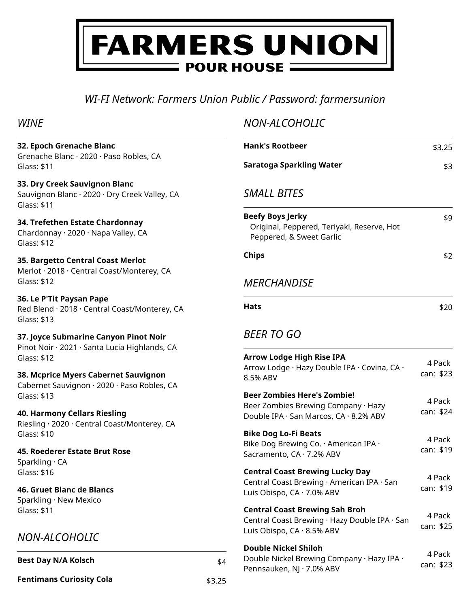# FARMERS UNION **POUR HOUSE =**

# *WI-FI Network: Farmers Union Public / Password: farmersunion*

*NON-ALCOHOLIC*

### *WINE*

| 32. Epoch Grenache Blanc<br>Grenache Blanc · 2020 · Paso Robles, CA                           |        | <b>Hank's Rootbeer</b>                                                                            | \$3.25    |
|-----------------------------------------------------------------------------------------------|--------|---------------------------------------------------------------------------------------------------|-----------|
| Glass: \$11                                                                                   |        | <b>Saratoga Sparkling Water</b>                                                                   | \$3       |
| 33. Dry Creek Sauvignon Blanc<br>Sauvignon Blanc · 2020 · Dry Creek Valley, CA<br>Glass: \$11 |        | <b>SMALL BITES</b>                                                                                |           |
| 34. Trefethen Estate Chardonnay<br>Chardonnay · 2020 · Napa Valley, CA<br>Glass: \$12         |        | <b>Beefy Boys Jerky</b><br>Original, Peppered, Teriyaki, Reserve, Hot<br>Peppered, & Sweet Garlic | \$9       |
| 35. Bargetto Central Coast Merlot<br>Merlot · 2018 · Central Coast/Monterey, CA               |        | <b>Chips</b>                                                                                      | \$2       |
| Glass: \$12                                                                                   |        | <b>MERCHANDISE</b>                                                                                |           |
| 36. Le P'Tit Paysan Pape<br>Red Blend · 2018 · Central Coast/Monterey, CA<br>Glass: \$13      |        | <b>Hats</b>                                                                                       | \$20      |
| 37. Joyce Submarine Canyon Pinot Noir<br>Pinot Noir · 2021 · Santa Lucia Highlands, CA        |        | <b>BEER TO GO</b>                                                                                 |           |
| Glass: \$12                                                                                   |        | <b>Arrow Lodge High Rise IPA</b>                                                                  | 4 Pack    |
| 38. Mcprice Myers Cabernet Sauvignon<br>Cabernet Sauvignon · 2020 · Paso Robles, CA           |        | Arrow Lodge · Hazy Double IPA · Covina, CA ·<br>8.5% ABV                                          | can: \$23 |
| Glass: \$13                                                                                   |        | <b>Beer Zombies Here's Zombie!</b>                                                                | 4 Pack    |
| 40. Harmony Cellars Riesling<br>Riesling · 2020 · Central Coast/Monterey, CA                  |        | Beer Zombies Brewing Company · Hazy<br>Double IPA · San Marcos, CA · 8.2% ABV                     | can: \$24 |
| Glass: \$10                                                                                   |        | <b>Bike Dog Lo-Fi Beats</b>                                                                       | 4 Pack    |
| 45. Roederer Estate Brut Rose<br>Sparkling · CA                                               |        | Bike Dog Brewing Co. · American IPA ·<br>Sacramento, CA · 7.2% ABV                                | can: \$19 |
| Glass: \$16                                                                                   |        | <b>Central Coast Brewing Lucky Day</b>                                                            | 4 Pack    |
| 46. Gruet Blanc de Blancs<br>Sparkling · New Mexico                                           |        | Central Coast Brewing · American IPA · San<br>Luis Obispo, CA · 7.0% ABV                          | can: \$19 |
| Glass: \$11                                                                                   |        | <b>Central Coast Brewing Sah Broh</b><br>Central Coast Brewing · Hazy Double IPA · San            | 4 Pack    |
| NON-ALCOHOLIC                                                                                 |        | Luis Obispo, CA · 8.5% ABV                                                                        | can: \$25 |
| <b>Best Day N/A Kolsch</b>                                                                    |        | <b>Double Nickel Shiloh</b><br>Double Nickel Brewing Company · Hazy IPA ·                         | 4 Pack    |
|                                                                                               | \$4    | Pennsauken, NJ · 7.0% ABV                                                                         | can: \$23 |
| <b>Fentimans Curiosity Cola</b>                                                               | \$3.25 |                                                                                                   |           |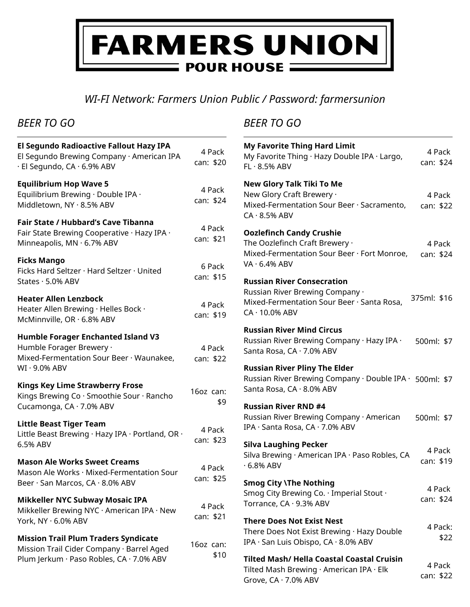# **FARMERS UNION POUR HOUSE =**

*WI-FI Network: Farmers Union Public / Password: farmersunion*

# *BEER TO GO*

| El Segundo Radioactive Fallout Hazy IPA<br>El Segundo Brewing Company · American IPA<br>· El Segundo, CA · 6.9% ABV                  | 4 Pack<br>can: \$20 |
|--------------------------------------------------------------------------------------------------------------------------------------|---------------------|
| <b>Equilibrium Hop Wave 5</b><br>Equilibrium Brewing · Double IPA ·<br>Middletown, NY · 8.5% ABV                                     | 4 Pack<br>can: \$24 |
| <b>Fair State / Hubbard's Cave Tibanna</b><br>Fair State Brewing Cooperative · Hazy IPA ·<br>Minneapolis, MN · 6.7% ABV              | 4 Pack<br>can: \$21 |
| <b>Ficks Mango</b><br>Ficks Hard Seltzer · Hard Seltzer · United<br>States · 5.0% ABV                                                | 6 Pack<br>can: \$15 |
| <b>Heater Allen Lenzbock</b><br>Heater Allen Brewing · Helles Bock ·<br>McMinnville, OR · 6.8% ABV                                   | 4 Pack<br>can: \$19 |
| <b>Humble Forager Enchanted Island V3</b><br>Humble Forager Brewery ·<br>Mixed-Fermentation Sour Beer · Waunakee,<br>WI · 9.0% ABV   | 4 Pack<br>can: \$22 |
| <b>Kings Key Lime Strawberry Frose</b><br>Kings Brewing Co · Smoothie Sour · Rancho<br>Cucamonga, CA · 7.0% ABV                      | 16oz can:<br>\$9    |
| <b>Little Beast Tiger Team</b><br>Little Beast Brewing · Hazy IPA · Portland, OR ·<br>6.5% ABV                                       | 4 Pack<br>can: \$23 |
| <b>Mason Ale Works Sweet Creams</b><br>Mason Ale Works · Mixed-Fermentation Sour<br>Beer · San Marcos, CA · 8.0% ABV                 | 4 Pack<br>can: \$25 |
| <b>Mikkeller NYC Subway Mosaic IPA</b><br>Mikkeller Brewing NYC · American IPA · New<br>York, NY · 6.0% ABV                          | 4 Pack<br>can: \$21 |
| <b>Mission Trail Plum Traders Syndicate</b><br>Mission Trail Cider Company · Barrel Aged<br>Plum Jerkum · Paso Robles, CA · 7.0% ABV | 16oz can:<br>\$10   |

## *BEER TO GO*

| <b>My Favorite Thing Hard Limit</b><br>My Favorite Thing · Hazy Double IPA · Largo,<br>$FL \cdot 8.5\%$ ABV                                 | 4 Pack<br>can: \$24 |
|---------------------------------------------------------------------------------------------------------------------------------------------|---------------------|
| New Glory Talk Tiki To Me<br>New Glory Craft Brewery ·<br>Mixed-Fermentation Sour Beer · Sacramento,<br>$CA \cdot 8.5\%$ ABV                | 4 Pack<br>can: \$22 |
| <b>Oozlefinch Candy Crushie</b><br>The Oozlefinch Craft Brewery .<br>Mixed-Fermentation Sour Beer · Fort Monroe,<br>$VA \cdot 6.4\%$ ABV    | 4 Pack<br>can: \$24 |
| <b>Russian River Consecration</b><br>Russian River Brewing Company ·<br>Mixed-Fermentation Sour Beer · Santa Rosa,<br>$CA \cdot 10.0\%$ ABV | 375ml: \$16         |
| <b>Russian River Mind Circus</b><br>Russian River Brewing Company · Hazy IPA ·<br>Santa Rosa, CA · 7.0% ABV                                 | 500ml: \$7          |
| <b>Russian River Pliny The Elder</b><br>Russian River Brewing Company · Double IPA · 500ml: \$7<br>Santa Rosa, CA · 8.0% ABV                |                     |
| <b>Russian River RND #4</b><br>Russian River Brewing Company · American<br>IPA · Santa Rosa, CA · 7.0% ABV                                  | 500ml: \$7          |
| <b>Silva Laughing Pecker</b><br>Silva Brewing · American IPA · Paso Robles, CA<br>$.6.8\%$ ABV                                              | 4 Pack<br>can: \$19 |
| <b>Smog City \The Nothing</b><br>Smog City Brewing Co. $\cdot$ Imperial Stout $\cdot$<br>Torrance, CA · 9.3% ABV                            | 4 Pack<br>can: \$24 |
| <b>There Does Not Exist Nest</b><br>There Does Not Exist Brewing · Hazy Double<br>IPA · San Luis Obispo, CA · 8.0% ABV                      | 4 Pack:<br>\$22     |
| <b>Tilted Mash/ Hella Coastal Coastal Cruisin</b><br>Tilted Mash Brewing · American IPA · Elk<br>Grove, $CA \cdot 7.0\%$ ABV                | 4 Pack<br>can: \$22 |